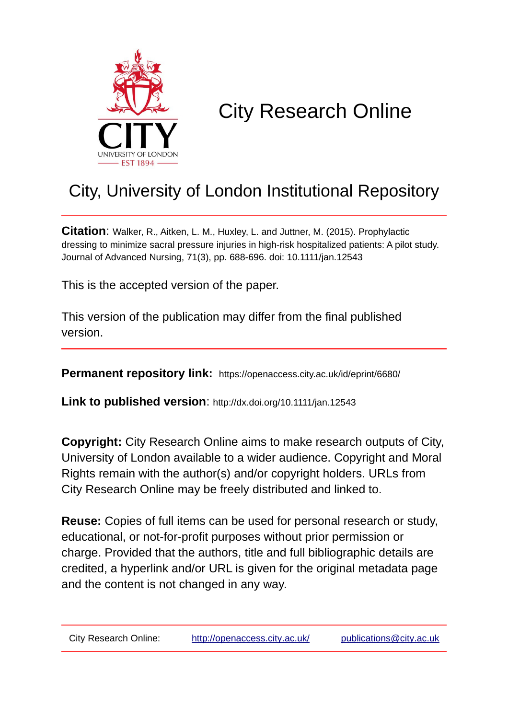

# City Research Online

# City, University of London Institutional Repository

**Citation**: Walker, R., Aitken, L. M., Huxley, L. and Juttner, M. (2015). Prophylactic dressing to minimize sacral pressure injuries in high-risk hospitalized patients: A pilot study. Journal of Advanced Nursing, 71(3), pp. 688-696. doi: 10.1111/jan.12543

This is the accepted version of the paper.

This version of the publication may differ from the final published version.

**Permanent repository link:** https://openaccess.city.ac.uk/id/eprint/6680/

**Link to published version**: http://dx.doi.org/10.1111/jan.12543

**Copyright:** City Research Online aims to make research outputs of City, University of London available to a wider audience. Copyright and Moral Rights remain with the author(s) and/or copyright holders. URLs from City Research Online may be freely distributed and linked to.

**Reuse:** Copies of full items can be used for personal research or study, educational, or not-for-profit purposes without prior permission or charge. Provided that the authors, title and full bibliographic details are credited, a hyperlink and/or URL is given for the original metadata page and the content is not changed in any way.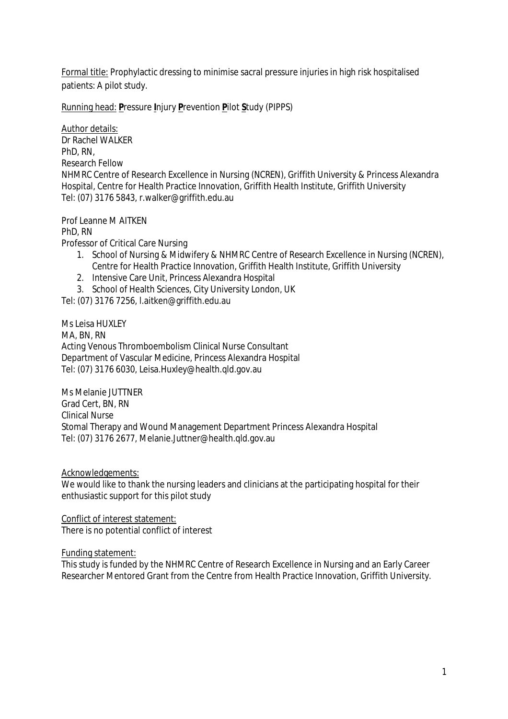Formal title: Prophylactic dressing to minimise sacral pressure injuries in high risk hospitalised patients: A pilot study.

Running head: **P**ressure **I**njury **P**revention **P**ilot **S**tudy (PIPPS)

Author details: Dr Rachel WALKER PhD, RN, Research Fellow NHMRC Centre of Research Excellence in Nursing (NCREN), Griffith University & Princess Alexandra Hospital, Centre for Health Practice Innovation, Griffith Health Institute, Griffith University Tel: (07) 3176 5843, r.walker@griffith.edu.au

Prof Leanne M AITKEN PhD, RN

Professor of Critical Care Nursing

- 1. School of Nursing & Midwifery & NHMRC Centre of Research Excellence in Nursing (NCREN), Centre for Health Practice Innovation, Griffith Health Institute, Griffith University
- 2. Intensive Care Unit, Princess Alexandra Hospital
- 3. School of Health Sciences, City University London, UK
- Tel: (07) 3176 7256, l.aitken@griffith.edu.au

Ms Leisa HUXLEY MA, BN, RN Acting Venous Thromboembolism Clinical Nurse Consultant Department of Vascular Medicine, Princess Alexandra Hospital Tel: (07) 3176 6030, Leisa.Huxley@health.qld.gov.au

Ms Melanie JUTTNER Grad Cert, BN, RN Clinical Nurse Stomal Therapy and Wound Management Department Princess Alexandra Hospital Tel: (07) 3176 2677, Melanie.Juttner@health.qld.gov.au

Acknowledgements:

We would like to thank the nursing leaders and clinicians at the participating hospital for their enthusiastic support for this pilot study

Conflict of interest statement: There is no potential conflict of interest

Funding statement:

This study is funded by the NHMRC Centre of Research Excellence in Nursing and an Early Career Researcher Mentored Grant from the Centre from Health Practice Innovation, Griffith University.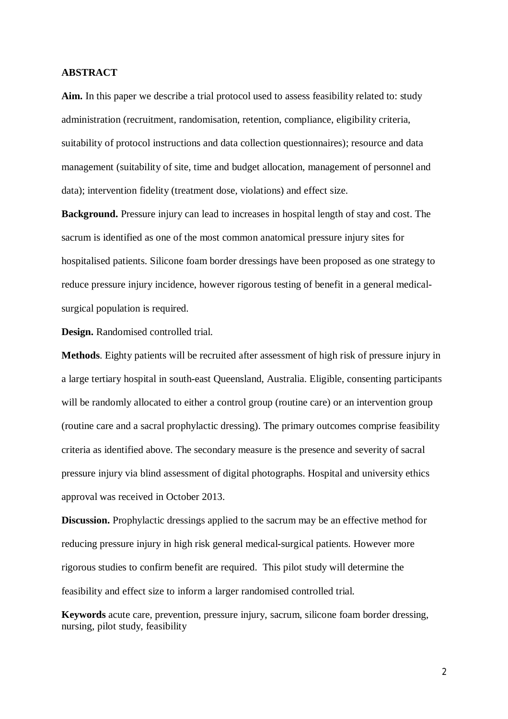#### **ABSTRACT**

**Aim.** In this paper we describe a trial protocol used to assess feasibility related to: study administration (recruitment, randomisation, retention, compliance, eligibility criteria, suitability of protocol instructions and data collection questionnaires); resource and data management (suitability of site, time and budget allocation, management of personnel and data); intervention fidelity (treatment dose, violations) and effect size.

**Background.** Pressure injury can lead to increases in hospital length of stay and cost. The sacrum is identified as one of the most common anatomical pressure injury sites for hospitalised patients. Silicone foam border dressings have been proposed as one strategy to reduce pressure injury incidence, however rigorous testing of benefit in a general medicalsurgical population is required.

**Design.** Randomised controlled trial.

**Methods**. Eighty patients will be recruited after assessment of high risk of pressure injury in a large tertiary hospital in south-east Queensland, Australia. Eligible, consenting participants will be randomly allocated to either a control group (routine care) or an intervention group (routine care and a sacral prophylactic dressing). The primary outcomes comprise feasibility criteria as identified above. The secondary measure is the presence and severity of sacral pressure injury via blind assessment of digital photographs. Hospital and university ethics approval was received in October 2013.

**Discussion.** Prophylactic dressings applied to the sacrum may be an effective method for reducing pressure injury in high risk general medical-surgical patients. However more rigorous studies to confirm benefit are required. This pilot study will determine the feasibility and effect size to inform a larger randomised controlled trial.

**Keywords** acute care, prevention, pressure injury, sacrum, silicone foam border dressing, nursing, pilot study, feasibility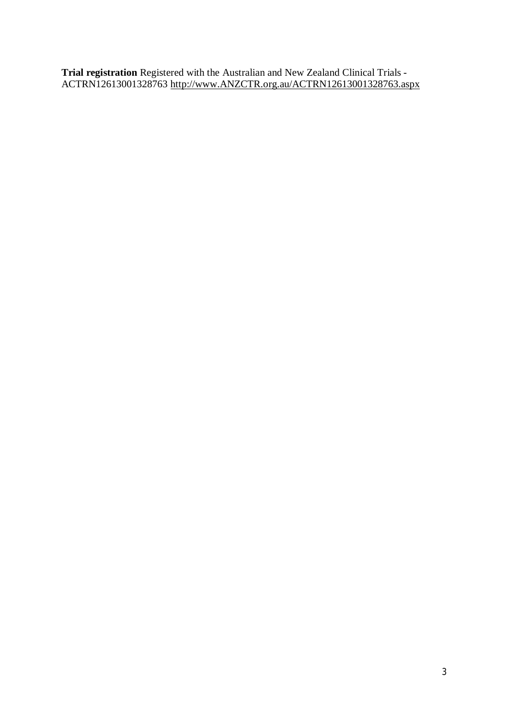**Trial registration** Registered with the Australian and New Zealand Clinical Trials - ACTRN12613001328763 http://www.ANZCTR.org.au/ACTRN12613001328763.aspx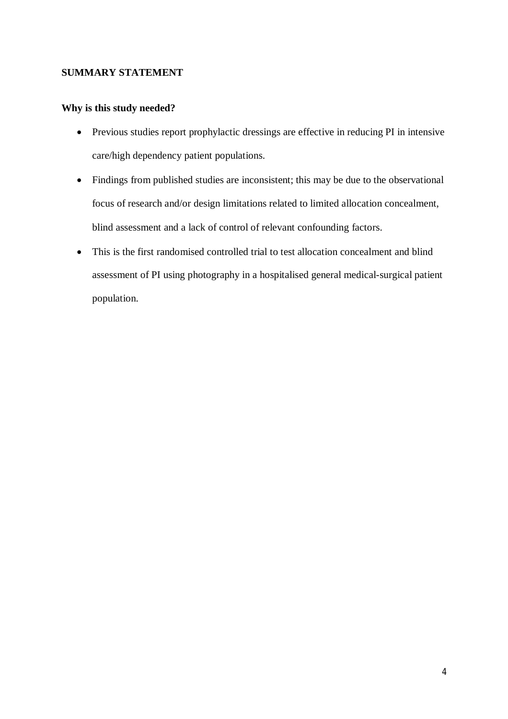# **SUMMARY STATEMENT**

# **Why is this study needed?**

- Previous studies report prophylactic dressings are effective in reducing PI in intensive care/high dependency patient populations.
- Findings from published studies are inconsistent; this may be due to the observational focus of research and/or design limitations related to limited allocation concealment, blind assessment and a lack of control of relevant confounding factors.
- This is the first randomised controlled trial to test allocation concealment and blind assessment of PI using photography in a hospitalised general medical-surgical patient population.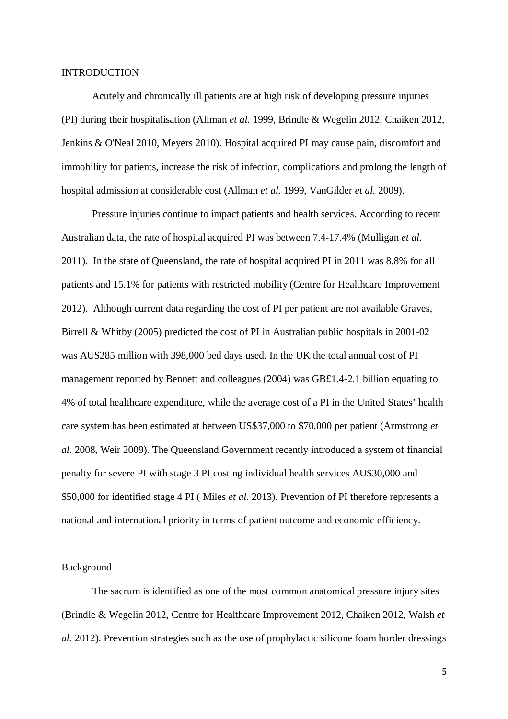#### INTRODUCTION

Acutely and chronically ill patients are at high risk of developing pressure injuries (PI) during their hospitalisation (Allman *et al.* 1999, Brindle & Wegelin 2012, Chaiken 2012, Jenkins & O'Neal 2010, Meyers 2010). Hospital acquired PI may cause pain, discomfort and immobility for patients, increase the risk of infection, complications and prolong the length of hospital admission at considerable cost (Allman *et al.* 1999, VanGilder *et al.* 2009).

Pressure injuries continue to impact patients and health services. According to recent Australian data, the rate of hospital acquired PI was between 7.4-17.4% (Mulligan *et al.* 2011). In the state of Queensland, the rate of hospital acquired PI in 2011 was 8.8% for all patients and 15.1% for patients with restricted mobility (Centre for Healthcare Improvement 2012). Although current data regarding the cost of PI per patient are not available Graves, Birrell & Whitby (2005) predicted the cost of PI in Australian public hospitals in 2001-02 was AU\$285 million with 398,000 bed days used. In the UK the total annual cost of PI management reported by Bennett and colleagues (2004) was GB£1.4-2.1 billion equating to 4% of total healthcare expenditure, while the average cost of a PI in the United States' health care system has been estimated at between US\$37,000 to \$70,000 per patient (Armstrong *et al.* 2008, Weir 2009). The Queensland Government recently introduced a system of financial penalty for severe PI with stage 3 PI costing individual health services AU\$30,000 and \$50,000 for identified stage 4 PI ( Miles *et al.* 2013). Prevention of PI therefore represents a national and international priority in terms of patient outcome and economic efficiency.

#### Background

The sacrum is identified as one of the most common anatomical pressure injury sites (Brindle & Wegelin 2012, Centre for Healthcare Improvement 2012, Chaiken 2012, Walsh *et al.* 2012). Prevention strategies such as the use of prophylactic silicone foam border dressings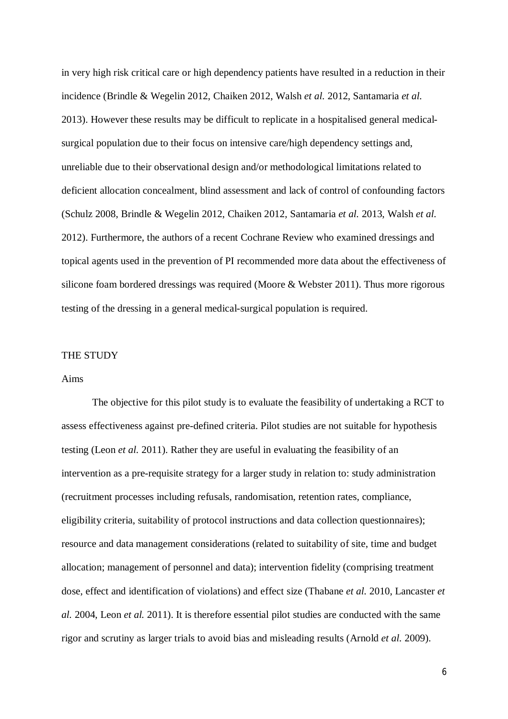in very high risk critical care or high dependency patients have resulted in a reduction in their incidence (Brindle & Wegelin 2012, Chaiken 2012, Walsh *et al.* 2012, Santamaria *et al.* 2013). However these results may be difficult to replicate in a hospitalised general medicalsurgical population due to their focus on intensive care/high dependency settings and, unreliable due to their observational design and/or methodological limitations related to deficient allocation concealment, blind assessment and lack of control of confounding factors (Schulz 2008, Brindle & Wegelin 2012, Chaiken 2012, Santamaria *et al.* 2013, Walsh *et al.* 2012). Furthermore, the authors of a recent Cochrane Review who examined dressings and topical agents used in the prevention of PI recommended more data about the effectiveness of silicone foam bordered dressings was required (Moore & Webster 2011). Thus more rigorous testing of the dressing in a general medical-surgical population is required.

#### THE STUDY

#### Aims

The objective for this pilot study is to evaluate the feasibility of undertaking a RCT to assess effectiveness against pre-defined criteria. Pilot studies are not suitable for hypothesis testing (Leon *et al.* 2011). Rather they are useful in evaluating the feasibility of an intervention as a pre-requisite strategy for a larger study in relation to: study administration (recruitment processes including refusals, randomisation, retention rates, compliance, eligibility criteria, suitability of protocol instructions and data collection questionnaires); resource and data management considerations (related to suitability of site, time and budget allocation; management of personnel and data); intervention fidelity (comprising treatment dose, effect and identification of violations) and effect size (Thabane *et al.* 2010, Lancaster *et al.* 2004, Leon *et al.* 2011). It is therefore essential pilot studies are conducted with the same rigor and scrutiny as larger trials to avoid bias and misleading results (Arnold *et al.* 2009).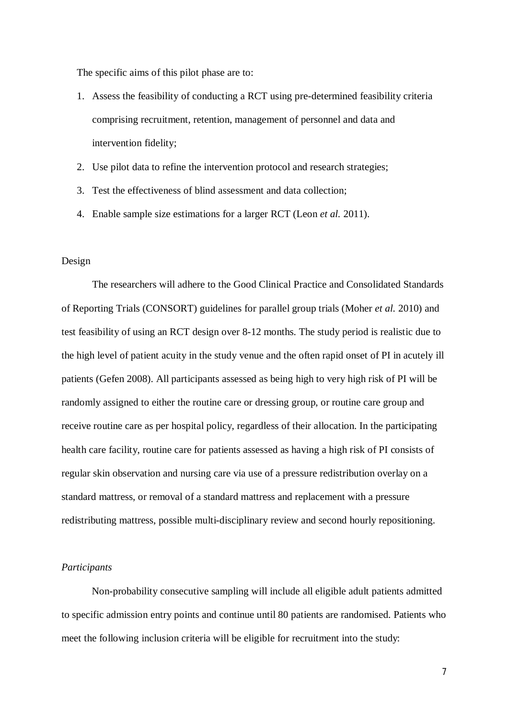The specific aims of this pilot phase are to:

- 1. Assess the feasibility of conducting a RCT using pre-determined feasibility criteria comprising recruitment, retention, management of personnel and data and intervention fidelity;
- 2. Use pilot data to refine the intervention protocol and research strategies;
- 3. Test the effectiveness of blind assessment and data collection;
- 4. Enable sample size estimations for a larger RCT (Leon *et al.* 2011).

#### Design

The researchers will adhere to the Good Clinical Practice and Consolidated Standards of Reporting Trials (CONSORT) guidelines for parallel group trials (Moher *et al.* 2010) and test feasibility of using an RCT design over 8-12 months. The study period is realistic due to the high level of patient acuity in the study venue and the often rapid onset of PI in acutely ill patients (Gefen 2008). All participants assessed as being high to very high risk of PI will be randomly assigned to either the routine care or dressing group, or routine care group and receive routine care as per hospital policy, regardless of their allocation. In the participating health care facility, routine care for patients assessed as having a high risk of PI consists of regular skin observation and nursing care via use of a pressure redistribution overlay on a standard mattress, or removal of a standard mattress and replacement with a pressure redistributing mattress, possible multi-disciplinary review and second hourly repositioning.

#### *Participants*

Non-probability consecutive sampling will include all eligible adult patients admitted to specific admission entry points and continue until 80 patients are randomised. Patients who meet the following inclusion criteria will be eligible for recruitment into the study: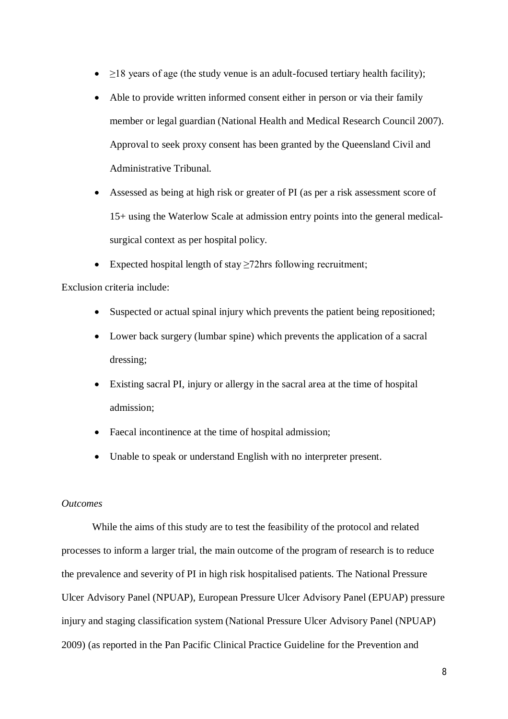- $\geq$ 18 years of age (the study venue is an adult-focused tertiary health facility);
- Able to provide written informed consent either in person or via their family member or legal guardian (National Health and Medical Research Council 2007). Approval to seek proxy consent has been granted by the Queensland Civil and Administrative Tribunal.
- Assessed as being at high risk or greater of PI (as per a risk assessment score of 15+ using the Waterlow Scale at admission entry points into the general medicalsurgical context as per hospital policy.
- Expected hospital length of stay  $\geq$ 72hrs following recruitment;

Exclusion criteria include:

- Suspected or actual spinal injury which prevents the patient being repositioned;
- Lower back surgery (lumbar spine) which prevents the application of a sacral dressing;
- Existing sacral PI, injury or allergy in the sacral area at the time of hospital admission;
- Faecal incontinence at the time of hospital admission;
- Unable to speak or understand English with no interpreter present.

# *Outcomes*

While the aims of this study are to test the feasibility of the protocol and related processes to inform a larger trial, the main outcome of the program of research is to reduce the prevalence and severity of PI in high risk hospitalised patients. The National Pressure Ulcer Advisory Panel (NPUAP), European Pressure Ulcer Advisory Panel (EPUAP) pressure injury and staging classification system (National Pressure Ulcer Advisory Panel (NPUAP) 2009) (as reported in the Pan Pacific Clinical Practice Guideline for the Prevention and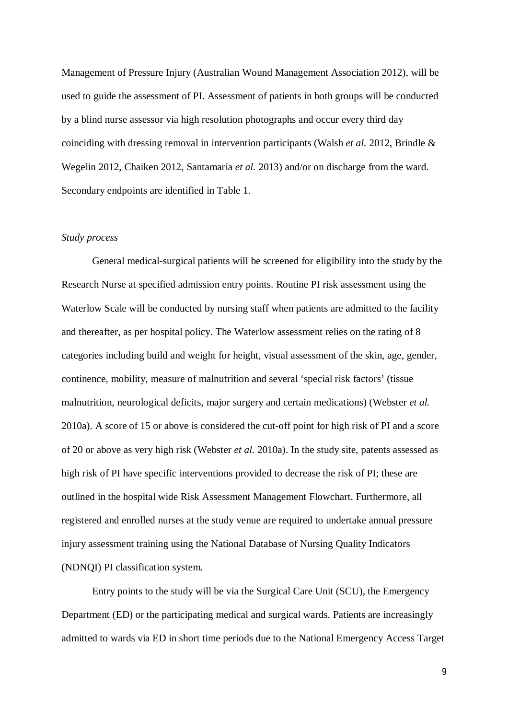Management of Pressure Injury (Australian Wound Management Association 2012), will be used to guide the assessment of PI. Assessment of patients in both groups will be conducted by a blind nurse assessor via high resolution photographs and occur every third day coinciding with dressing removal in intervention participants (Walsh *et al.* 2012, Brindle & Wegelin 2012, Chaiken 2012, Santamaria *et al.* 2013) and/or on discharge from the ward. Secondary endpoints are identified in Table 1.

#### *Study process*

General medical-surgical patients will be screened for eligibility into the study by the Research Nurse at specified admission entry points. Routine PI risk assessment using the Waterlow Scale will be conducted by nursing staff when patients are admitted to the facility and thereafter, as per hospital policy. The Waterlow assessment relies on the rating of 8 categories including build and weight for height, visual assessment of the skin, age, gender, continence, mobility, measure of malnutrition and several 'special risk factors' (tissue malnutrition, neurological deficits, major surgery and certain medications) (Webster *et al.* 2010a). A score of 15 or above is considered the cut-off point for high risk of PI and a score of 20 or above as very high risk (Webster *et al.* 2010a). In the study site, patents assessed as high risk of PI have specific interventions provided to decrease the risk of PI; these are outlined in the hospital wide Risk Assessment Management Flowchart. Furthermore, all registered and enrolled nurses at the study venue are required to undertake annual pressure injury assessment training using the National Database of Nursing Quality Indicators (NDNQI) PI classification system.

Entry points to the study will be via the Surgical Care Unit (SCU), the Emergency Department (ED) or the participating medical and surgical wards. Patients are increasingly admitted to wards via ED in short time periods due to the National Emergency Access Target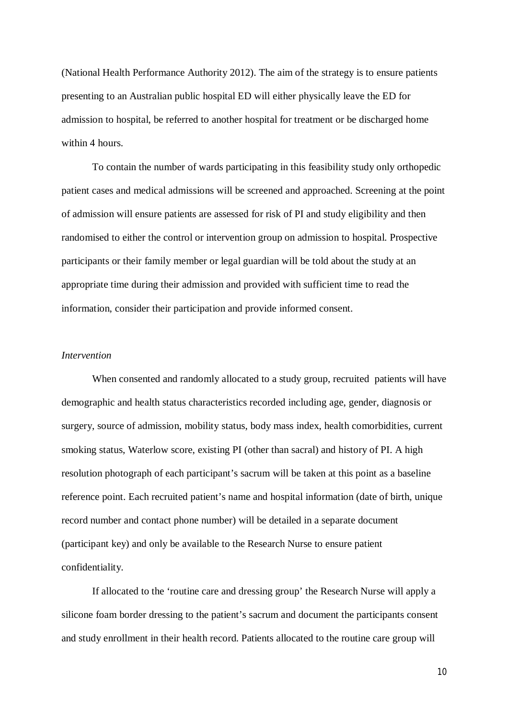(National Health Performance Authority 2012). The aim of the strategy is to ensure patients presenting to an Australian public hospital ED will either physically leave the ED for admission to hospital, be referred to another hospital for treatment or be discharged home within 4 hours.

To contain the number of wards participating in this feasibility study only orthopedic patient cases and medical admissions will be screened and approached. Screening at the point of admission will ensure patients are assessed for risk of PI and study eligibility and then randomised to either the control or intervention group on admission to hospital. Prospective participants or their family member or legal guardian will be told about the study at an appropriate time during their admission and provided with sufficient time to read the information, consider their participation and provide informed consent.

#### *Intervention*

When consented and randomly allocated to a study group, recruited patients will have demographic and health status characteristics recorded including age, gender, diagnosis or surgery, source of admission, mobility status, body mass index, health comorbidities, current smoking status, Waterlow score, existing PI (other than sacral) and history of PI. A high resolution photograph of each participant's sacrum will be taken at this point as a baseline reference point. Each recruited patient's name and hospital information (date of birth, unique record number and contact phone number) will be detailed in a separate document (participant key) and only be available to the Research Nurse to ensure patient confidentiality.

If allocated to the 'routine care and dressing group' the Research Nurse will apply a silicone foam border dressing to the patient's sacrum and document the participants consent and study enrollment in their health record. Patients allocated to the routine care group will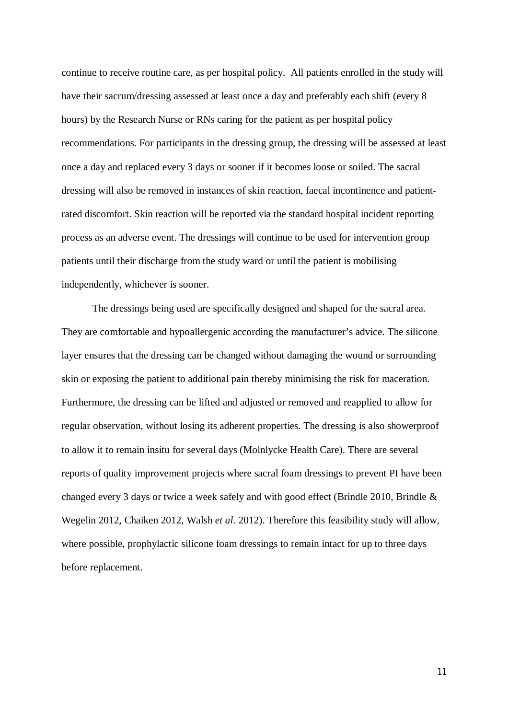continue to receive routine care, as per hospital policy. All patients enrolled in the study will have their sacrum/dressing assessed at least once a day and preferably each shift (every 8 hours) by the Research Nurse or RNs caring for the patient as per hospital policy recommendations. For participants in the dressing group, the dressing will be assessed at least once a day and replaced every 3 days or sooner if it becomes loose or soiled. The sacral dressing will also be removed in instances of skin reaction, faecal incontinence and patientrated discomfort. Skin reaction will be reported via the standard hospital incident reporting process as an adverse event. The dressings will continue to be used for intervention group patients until their discharge from the study ward or until the patient is mobilising independently, whichever is sooner.

The dressings being used are specifically designed and shaped for the sacral area. They are comfortable and hypoallergenic according the manufacturer's advice. The silicone layer ensures that the dressing can be changed without damaging the wound or surrounding skin or exposing the patient to additional pain thereby minimising the risk for maceration. Furthermore, the dressing can be lifted and adjusted or removed and reapplied to allow for regular observation, without losing its adherent properties. The dressing is also showerproof to allow it to remain insitu for several days (Molnlycke Health Care). There are several reports of quality improvement projects where sacral foam dressings to prevent PI have been changed every 3 days or twice a week safely and with good effect (Brindle 2010, Brindle & Wegelin 2012, Chaiken 2012, Walsh *et al.* 2012). Therefore this feasibility study will allow, where possible, prophylactic silicone foam dressings to remain intact for up to three days before replacement.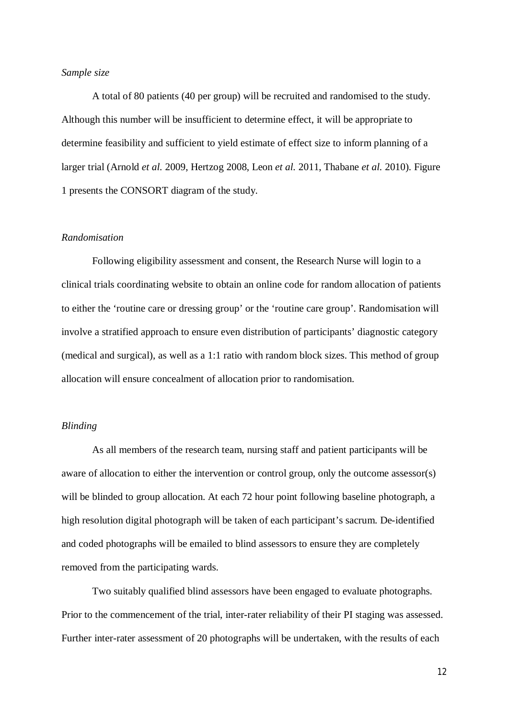#### *Sample size*

A total of 80 patients (40 per group) will be recruited and randomised to the study. Although this number will be insufficient to determine effect, it will be appropriate to determine feasibility and sufficient to yield estimate of effect size to inform planning of a larger trial (Arnold *et al.* 2009, Hertzog 2008, Leon *et al.* 2011, Thabane *et al.* 2010). Figure 1 presents the CONSORT diagram of the study.

#### *Randomisation*

Following eligibility assessment and consent, the Research Nurse will login to a clinical trials coordinating website to obtain an online code for random allocation of patients to either the 'routine care or dressing group' or the 'routine care group'. Randomisation will involve a stratified approach to ensure even distribution of participants' diagnostic category (medical and surgical), as well as a 1:1 ratio with random block sizes. This method of group allocation will ensure concealment of allocation prior to randomisation.

#### *Blinding*

As all members of the research team, nursing staff and patient participants will be aware of allocation to either the intervention or control group, only the outcome assessor(s) will be blinded to group allocation. At each 72 hour point following baseline photograph, a high resolution digital photograph will be taken of each participant's sacrum. De-identified and coded photographs will be emailed to blind assessors to ensure they are completely removed from the participating wards.

Two suitably qualified blind assessors have been engaged to evaluate photographs. Prior to the commencement of the trial, inter-rater reliability of their PI staging was assessed. Further inter-rater assessment of 20 photographs will be undertaken, with the results of each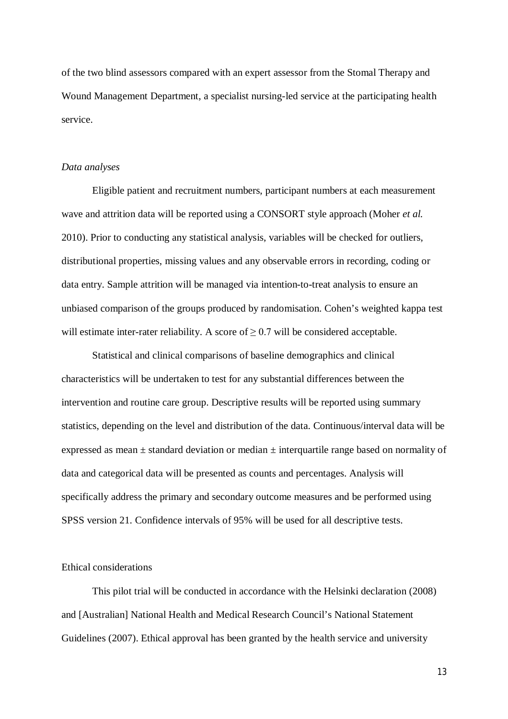of the two blind assessors compared with an expert assessor from the Stomal Therapy and Wound Management Department, a specialist nursing-led service at the participating health service.

#### *Data analyses*

Eligible patient and recruitment numbers, participant numbers at each measurement wave and attrition data will be reported using a CONSORT style approach (Moher *et al.* 2010). Prior to conducting any statistical analysis, variables will be checked for outliers, distributional properties, missing values and any observable errors in recording, coding or data entry. Sample attrition will be managed via intention-to-treat analysis to ensure an unbiased comparison of the groups produced by randomisation. Cohen's weighted kappa test will estimate inter-rater reliability. A score of  $\geq$  0.7 will be considered acceptable.

Statistical and clinical comparisons of baseline demographics and clinical characteristics will be undertaken to test for any substantial differences between the intervention and routine care group. Descriptive results will be reported using summary statistics, depending on the level and distribution of the data. Continuous/interval data will be expressed as mean  $\pm$  standard deviation or median  $\pm$  interquartile range based on normality of data and categorical data will be presented as counts and percentages. Analysis will specifically address the primary and secondary outcome measures and be performed using SPSS version 21. Confidence intervals of 95% will be used for all descriptive tests.

#### Ethical considerations

This pilot trial will be conducted in accordance with the Helsinki declaration (2008) and [Australian] National Health and Medical Research Council's National Statement Guidelines (2007). Ethical approval has been granted by the health service and university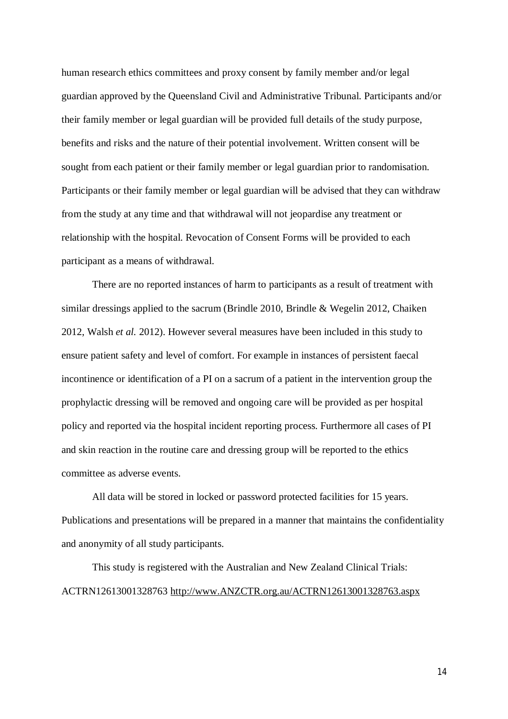human research ethics committees and proxy consent by family member and/or legal guardian approved by the Queensland Civil and Administrative Tribunal. Participants and/or their family member or legal guardian will be provided full details of the study purpose, benefits and risks and the nature of their potential involvement. Written consent will be sought from each patient or their family member or legal guardian prior to randomisation. Participants or their family member or legal guardian will be advised that they can withdraw from the study at any time and that withdrawal will not jeopardise any treatment or relationship with the hospital. Revocation of Consent Forms will be provided to each participant as a means of withdrawal.

There are no reported instances of harm to participants as a result of treatment with similar dressings applied to the sacrum (Brindle 2010, Brindle & Wegelin 2012, Chaiken 2012, Walsh *et al.* 2012). However several measures have been included in this study to ensure patient safety and level of comfort. For example in instances of persistent faecal incontinence or identification of a PI on a sacrum of a patient in the intervention group the prophylactic dressing will be removed and ongoing care will be provided as per hospital policy and reported via the hospital incident reporting process. Furthermore all cases of PI and skin reaction in the routine care and dressing group will be reported to the ethics committee as adverse events.

All data will be stored in locked or password protected facilities for 15 years. Publications and presentations will be prepared in a manner that maintains the confidentiality and anonymity of all study participants.

This study is registered with the Australian and New Zealand Clinical Trials: ACTRN12613001328763 http://www.ANZCTR.org.au/ACTRN12613001328763.aspx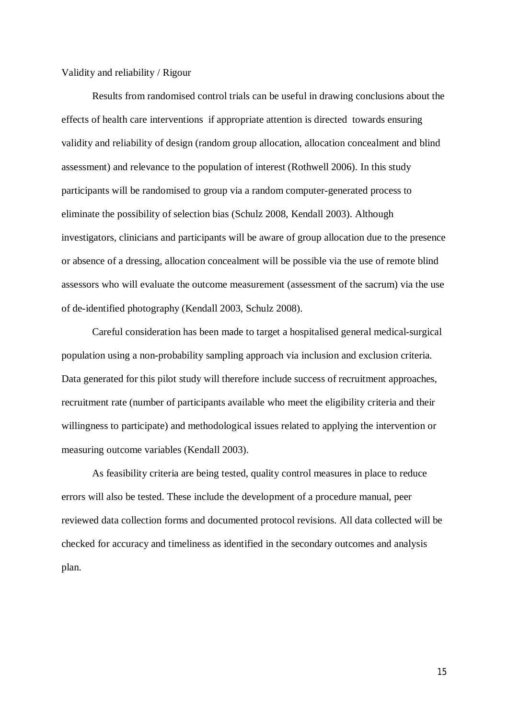Validity and reliability / Rigour

Results from randomised control trials can be useful in drawing conclusions about the effects of health care interventions if appropriate attention is directed towards ensuring validity and reliability of design (random group allocation, allocation concealment and blind assessment) and relevance to the population of interest (Rothwell 2006). In this study participants will be randomised to group via a random computer-generated process to eliminate the possibility of selection bias (Schulz 2008, Kendall 2003). Although investigators, clinicians and participants will be aware of group allocation due to the presence or absence of a dressing, allocation concealment will be possible via the use of remote blind assessors who will evaluate the outcome measurement (assessment of the sacrum) via the use of de-identified photography (Kendall 2003, Schulz 2008).

Careful consideration has been made to target a hospitalised general medical-surgical population using a non-probability sampling approach via inclusion and exclusion criteria. Data generated for this pilot study will therefore include success of recruitment approaches, recruitment rate (number of participants available who meet the eligibility criteria and their willingness to participate) and methodological issues related to applying the intervention or measuring outcome variables (Kendall 2003).

As feasibility criteria are being tested, quality control measures in place to reduce errors will also be tested. These include the development of a procedure manual, peer reviewed data collection forms and documented protocol revisions. All data collected will be checked for accuracy and timeliness as identified in the secondary outcomes and analysis plan.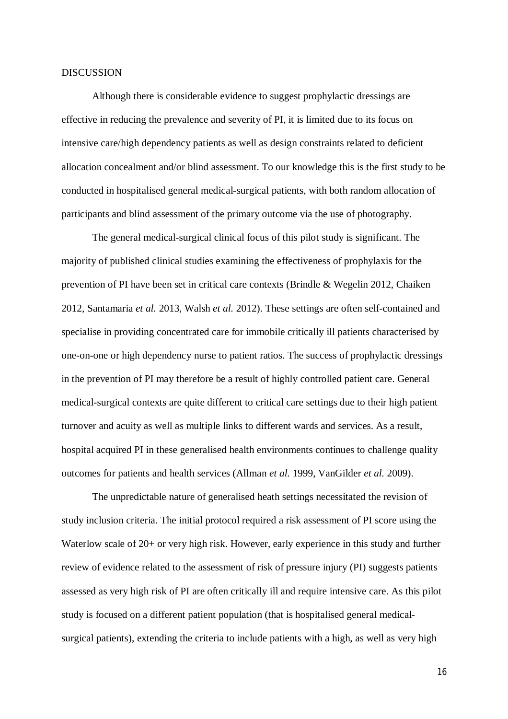#### DISCUSSION

Although there is considerable evidence to suggest prophylactic dressings are effective in reducing the prevalence and severity of PI, it is limited due to its focus on intensive care/high dependency patients as well as design constraints related to deficient allocation concealment and/or blind assessment. To our knowledge this is the first study to be conducted in hospitalised general medical-surgical patients, with both random allocation of participants and blind assessment of the primary outcome via the use of photography.

The general medical-surgical clinical focus of this pilot study is significant. The majority of published clinical studies examining the effectiveness of prophylaxis for the prevention of PI have been set in critical care contexts (Brindle & Wegelin 2012, Chaiken 2012, Santamaria *et al.* 2013, Walsh *et al.* 2012). These settings are often self-contained and specialise in providing concentrated care for immobile critically ill patients characterised by one-on-one or high dependency nurse to patient ratios. The success of prophylactic dressings in the prevention of PI may therefore be a result of highly controlled patient care. General medical-surgical contexts are quite different to critical care settings due to their high patient turnover and acuity as well as multiple links to different wards and services. As a result, hospital acquired PI in these generalised health environments continues to challenge quality outcomes for patients and health services (Allman *et al.* 1999, VanGilder *et al.* 2009).

The unpredictable nature of generalised heath settings necessitated the revision of study inclusion criteria. The initial protocol required a risk assessment of PI score using the Waterlow scale of 20+ or very high risk. However, early experience in this study and further review of evidence related to the assessment of risk of pressure injury (PI) suggests patients assessed as very high risk of PI are often critically ill and require intensive care. As this pilot study is focused on a different patient population (that is hospitalised general medicalsurgical patients), extending the criteria to include patients with a high, as well as very high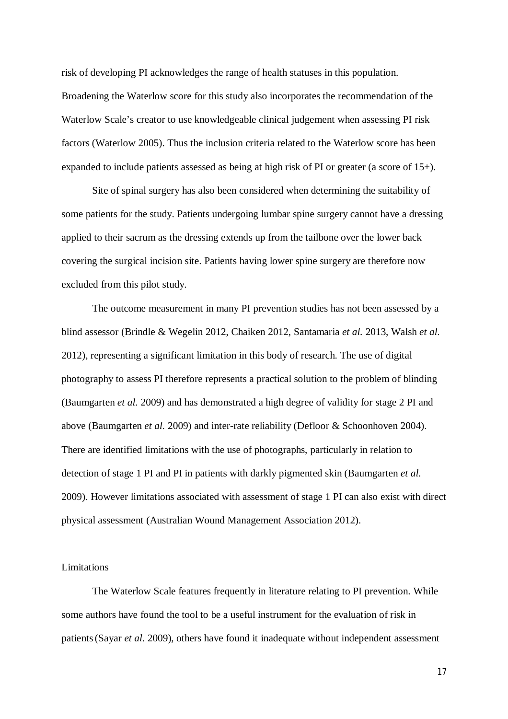risk of developing PI acknowledges the range of health statuses in this population. Broadening the Waterlow score for this study also incorporates the recommendation of the Waterlow Scale's creator to use knowledgeable clinical judgement when assessing PI risk factors (Waterlow 2005). Thus the inclusion criteria related to the Waterlow score has been expanded to include patients assessed as being at high risk of PI or greater (a score of 15+).

Site of spinal surgery has also been considered when determining the suitability of some patients for the study. Patients undergoing lumbar spine surgery cannot have a dressing applied to their sacrum as the dressing extends up from the tailbone over the lower back covering the surgical incision site. Patients having lower spine surgery are therefore now excluded from this pilot study.

The outcome measurement in many PI prevention studies has not been assessed by a blind assessor (Brindle & Wegelin 2012, Chaiken 2012, Santamaria *et al.* 2013, Walsh *et al.* 2012), representing a significant limitation in this body of research. The use of digital photography to assess PI therefore represents a practical solution to the problem of blinding (Baumgarten *et al.* 2009) and has demonstrated a high degree of validity for stage 2 PI and above (Baumgarten *et al.* 2009) and inter-rate reliability (Defloor & Schoonhoven 2004). There are identified limitations with the use of photographs, particularly in relation to detection of stage 1 PI and PI in patients with darkly pigmented skin (Baumgarten *et al.* 2009). However limitations associated with assessment of stage 1 PI can also exist with direct physical assessment (Australian Wound Management Association 2012).

#### Limitations

The Waterlow Scale features frequently in literature relating to PI prevention. While some authors have found the tool to be a useful instrument for the evaluation of risk in patients(Sayar *et al.* 2009), others have found it inadequate without independent assessment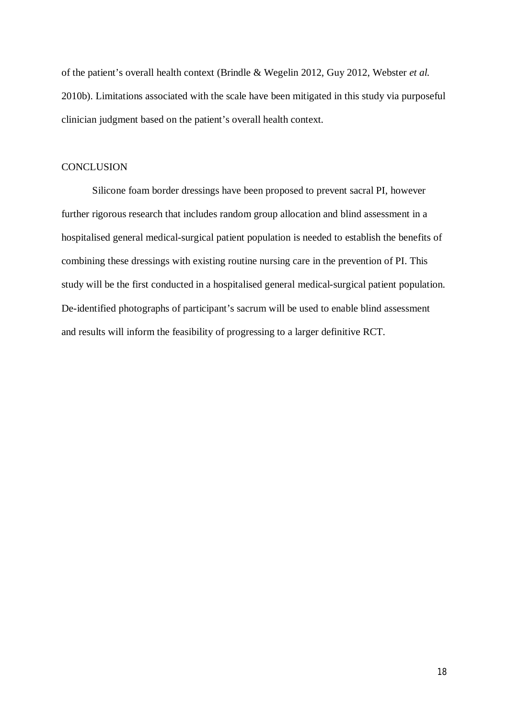of the patient's overall health context (Brindle & Wegelin 2012, Guy 2012, Webster *et al.* 2010b). Limitations associated with the scale have been mitigated in this study via purposeful clinician judgment based on the patient's overall health context.

#### **CONCLUSION**

Silicone foam border dressings have been proposed to prevent sacral PI, however further rigorous research that includes random group allocation and blind assessment in a hospitalised general medical-surgical patient population is needed to establish the benefits of combining these dressings with existing routine nursing care in the prevention of PI. This study will be the first conducted in a hospitalised general medical-surgical patient population. De-identified photographs of participant's sacrum will be used to enable blind assessment and results will inform the feasibility of progressing to a larger definitive RCT.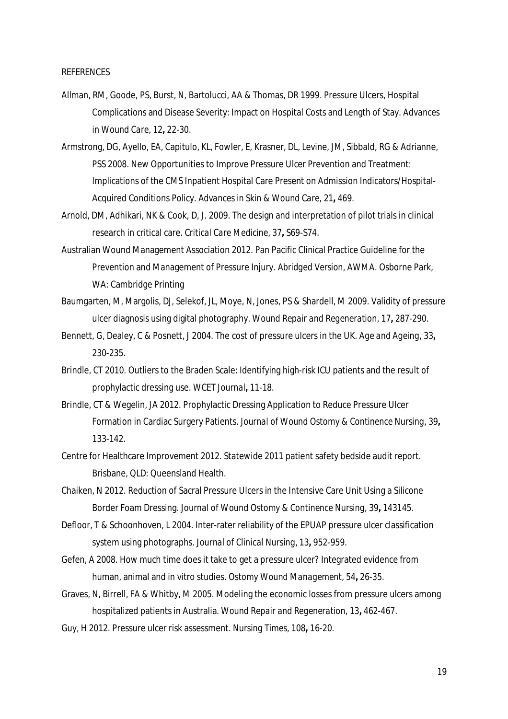#### REFERENCES

- Allman, RM, Goode, PS, Burst, N, Bartolucci, AA & Thomas, DR 1999. Pressure Ulcers, Hospital Complications and Disease Severity: Impact on Hospital Costs and Length of Stay. *Advances in Wound Care,* 12**,** 22-30.
- Armstrong, DG, Ayello, EA, Capitulo, KL, Fowler, E, Krasner, DL, Levine, JM, Sibbald, RG & Adrianne, PSS 2008. New Opportunities to Improve Pressure Ulcer Prevention and Treatment: Implications of the CMS Inpatient Hospital Care Present on Admission Indicators/Hospital-Acquired Conditions Policy. *Advances in Skin & Wound Care,* 21**,** 469.
- Arnold, DM, Adhikari, NK & Cook, D, J. 2009. The design and interpretation of pilot trials in clinical research in critical care. *Critical Care Medicine,* 37**,** S69-S74.
- Australian Wound Management Association 2012. Pan Pacific Clinical Practice Guideline for the Prevention and Management of Pressure Injury. *Abridged Version, AWMA.* Osborne Park, WA: Cambridge Printing
- Baumgarten, M, Margolis, DJ, Selekof, JL, Moye, N, Jones, PS & Shardell, M 2009. Validity of pressure ulcer diagnosis using digital photography. *Wound Repair and Regeneration,* 17**,** 287-290.
- Bennett, G, Dealey, C & Posnett, J 2004. The cost of pressure ulcers in the UK. *Age and Ageing,* 33**,** 230-235.
- Brindle, CT 2010. Outliers to the Braden Scale: Identifying high-risk ICU patients and the result of prophylactic dressing use. *WCET Journal***,** 11-18.
- Brindle, CT & Wegelin, JA 2012. Prophylactic Dressing Application to Reduce Pressure Ulcer Formation in Cardiac Surgery Patients. *Journal of Wound Ostomy & Continence Nursing,* 39**,** 133-142.
- Centre for Healthcare Improvement 2012. Statewide 2011 patient safety bedside audit report. Brisbane, QLD: Queensland Health.
- Chaiken, N 2012. Reduction of Sacral Pressure Ulcers in the Intensive Care Unit Using a Silicone Border Foam Dressing. *Journal of Wound Ostomy & Continence Nursing,* 39**,** 143145.
- Defloor, T & Schoonhoven, L 2004. Inter-rater reliability of the EPUAP pressure ulcer classification system using photographs. *Journal of Clinical Nursing,* 13**,** 952-959.
- Gefen, A 2008. How much time does it take to get a pressure ulcer? Integrated evidence from human, animal and in vitro studies. *Ostomy Wound Management,* 54**,** 26-35.
- Graves, N, Birrell, FA & Whitby, M 2005. Modeling the economic losses from pressure ulcers among hospitalized patients in Australia. *Wound Repair and Regeneration,* 13**,** 462-467.

Guy, H 2012. Pressure ulcer risk assessment. *Nursing Times,* 108**,** 16-20.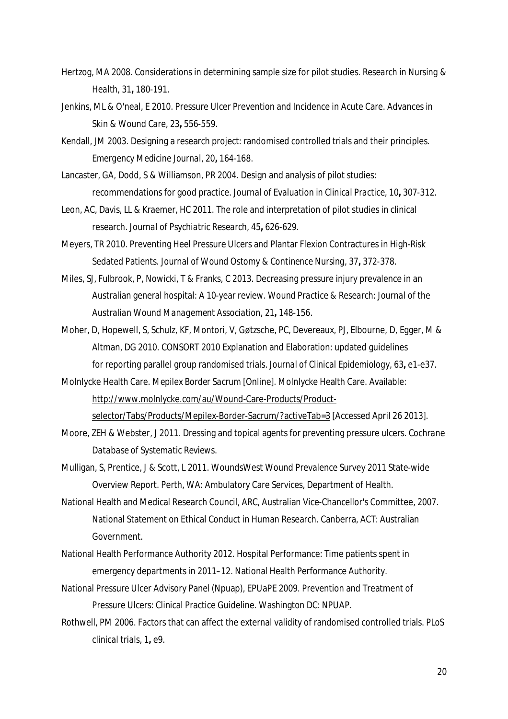- Hertzog, MA 2008. Considerations in determining sample size for pilot studies. *Research in Nursing & Health,* 31**,** 180-191.
- Jenkins, ML & O'neal, E 2010. Pressure Ulcer Prevention and Incidence in Acute Care. *Advances in Skin & Wound Care,* 23**,** 556-559.
- Kendall, JM 2003. Designing a research project: randomised controlled trials and their principles. *Emergency Medicine Journal,* 20**,** 164-168.
- Lancaster, GA, Dodd, S & Williamson, PR 2004. Design and analysis of pilot studies: recommendations for good practice. *Journal of Evaluation in Clinical Practice,* 10**,** 307-312.
- Leon, AC, Davis, LL & Kraemer, HC 2011. The role and interpretation of pilot studies in clinical research. *Journal of Psychiatric Research,* 45**,** 626-629.
- Meyers, TR 2010. Preventing Heel Pressure Ulcers and Plantar Flexion Contractures in High-Risk Sedated Patients. *Journal of Wound Ostomy & Continence Nursing,* 37**,** 372-378.
- Miles, SJ, Fulbrook, P, Nowicki, T & Franks, C 2013. Decreasing pressure injury prevalence in an Australian general hospital: A 10-year review. *Wound Practice & Research: Journal of the Australian Wound Management Association,* 21**,** 148-156.
- Moher, D, Hopewell, S, Schulz, KF, Montori, V, Gøtzsche, PC, Devereaux, PJ, Elbourne, D, Egger, M & Altman, DG 2010. CONSORT 2010 Explanation and Elaboration: updated guidelines for reporting parallel group randomised trials. *Journal of Clinical Epidemiology,* 63**,** e1-e37.
- Molnlycke Health Care. *Mepilex Border Sacrum* [Online]. Molnlycke Health Care. Available: http://www.molnlycke.com/au/Wound-Care-Products/Productselector/Tabs/Products/Mepilex-Border-Sacrum/?activeTab=3 [Accessed April 26 2013].
- Moore, ZEH & Webster, J 2011. Dressing and topical agents for preventing pressure ulcers. *Cochrane Database of Systematic Reviews*.
- Mulligan, S, Prentice, J & Scott, L 2011. WoundsWest Wound Prevalence Survey 2011 State-wide Overview Report. Perth, WA: Ambulatory Care Services, Department of Health.
- National Health and Medical Research Council, ARC, Australian Vice-Chancellor's Committee, 2007. National Statement on Ethical Conduct in Human Research. Canberra, ACT: Australian Government.
- National Health Performance Authority 2012. Hospital Performance: Time patients spent in emergency departments in 2011–12. National Health Performance Authority.
- National Pressure Ulcer Advisory Panel (Npuap), EPUaPE 2009. Prevention and Treatment of Pressure Ulcers: Clinical Practice Guideline. Washington DC: NPUAP.
- Rothwell, PM 2006. Factors that can affect the external validity of randomised controlled trials. *PLoS clinical trials,* 1**,** e9.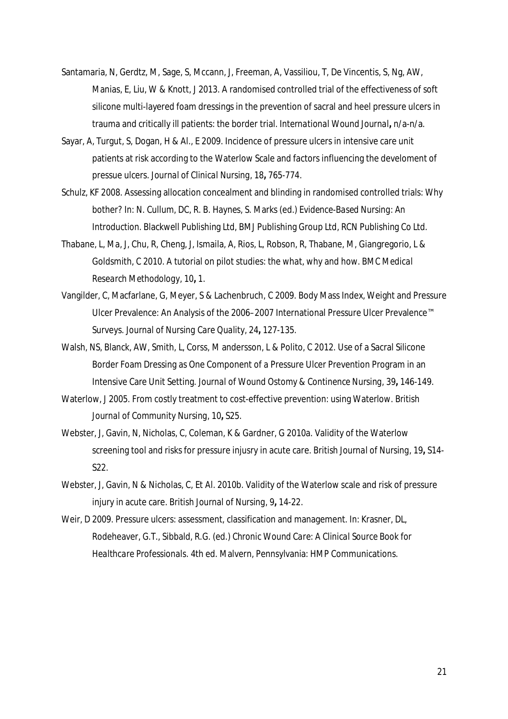- Santamaria, N, Gerdtz, M, Sage, S, Mccann, J, Freeman, A, Vassiliou, T, De Vincentis, S, Ng, AW, Manias, E, Liu, W & Knott, J 2013. A randomised controlled trial of the effectiveness of soft silicone multi-layered foam dressings in the prevention of sacral and heel pressure ulcers in trauma and critically ill patients: the border trial. *International Wound Journal***,** n/a-n/a.
- Sayar, A, Turgut, S, Dogan, H & Al., E 2009. Incidence of pressure ulcers in intensive care unit patients at risk according to the Waterlow Scale and factors influencing the develoment of pressue ulcers. *Journal of Clinical Nursing,* 18**,** 765-774.
- Schulz, KF 2008. Assessing allocation concealment and blinding in randomised controlled trials: Why bother? *In:* N. Cullum, DC, R. B. Haynes, S. Marks (ed.) *Evidence-Based Nursing: An Introduction.* Blackwell Publishing Ltd, BMJ Publishing Group Ltd, RCN Publishing Co Ltd.
- Thabane, L, Ma, J, Chu, R, Cheng, J, Ismaila, A, Rios, L, Robson, R, Thabane, M, Giangregorio, L & Goldsmith, C 2010. A tutorial on pilot studies: the what, why and how. *BMC Medical Research Methodology,* 10**,** 1.
- Vangilder, C, Macfarlane, G, Meyer, S & Lachenbruch, C 2009. Body Mass Index, Weight and Pressure Ulcer Prevalence: An Analysis of the 2006–2007 International Pressure Ulcer Prevalence™ Surveys. *Journal of Nursing Care Quality,* 24**,** 127-135.
- Walsh, NS, Blanck, AW, Smith, L, Corss, M andersson, L & Polito, C 2012. Use of a Sacral Silicone Border Foam Dressing as One Component of a Pressure Ulcer Prevention Program in an Intensive Care Unit Setting. *Journal of Wound Ostomy & Continence Nursing,* 39**,** 146-149.
- Waterlow, J 2005. From costly treatment to cost-effective prevention: using Waterlow. *British Journal of Community Nursing,* 10**,** S25.
- Webster, J, Gavin, N, Nicholas, C, Coleman, K & Gardner, G 2010a. Validity of the Waterlow screening tool and risks for pressure injusry in acute care. *British Journal of Nursing,* 19**,** S14- S22.
- Webster, J, Gavin, N & Nicholas, C, Et Al. 2010b. Validity of the Waterlow scale and risk of pressure injury in acute care. *British Journal of Nursing,* 9**,** 14-22.
- Weir, D 2009. Pressure ulcers: assessment, classification and management. *In:* Krasner, DL, Rodeheaver, G.T., Sibbald, R.G. (ed.) *Chronic Wound Care: A Clinical Source Book for Healthcare Professionals.* 4th ed. Malvern, Pennsylvania: HMP Communications.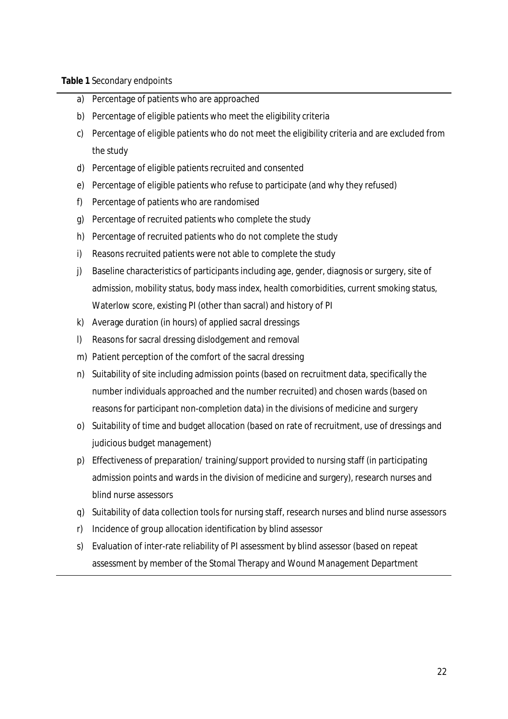### **Table 1** Secondary endpoints

- a) Percentage of patients who are approached
- b) Percentage of eligible patients who meet the eligibility criteria
- c) Percentage of eligible patients who do not meet the eligibility criteria and are excluded from the study
- d) Percentage of eligible patients recruited and consented
- e) Percentage of eligible patients who refuse to participate (and why they refused)
- f) Percentage of patients who are randomised
- g) Percentage of recruited patients who complete the study
- h) Percentage of recruited patients who do not complete the study
- i) Reasons recruited patients were not able to complete the study
- j) Baseline characteristics of participants including age, gender, diagnosis or surgery, site of admission, mobility status, body mass index, health comorbidities, current smoking status, Waterlow score, existing PI (other than sacral) and history of PI
- k) Average duration (in hours) of applied sacral dressings
- l) Reasons for sacral dressing dislodgement and removal
- m) Patient perception of the comfort of the sacral dressing
- n) Suitability of site including admission points (based on recruitment data, specifically the number individuals approached and the number recruited) and chosen wards (based on reasons for participant non-completion data) in the divisions of medicine and surgery
- o) Suitability of time and budget allocation (based on rate of recruitment, use of dressings and judicious budget management)
- p) Effectiveness of preparation/ training/support provided to nursing staff (in participating admission points and wards in the division of medicine and surgery), research nurses and blind nurse assessors
- q) Suitability of data collection tools for nursing staff, research nurses and blind nurse assessors
- r) Incidence of group allocation identification by blind assessor
- s) Evaluation of inter-rate reliability of PI assessment by blind assessor (based on repeat assessment by member of the Stomal Therapy and Wound Management Department